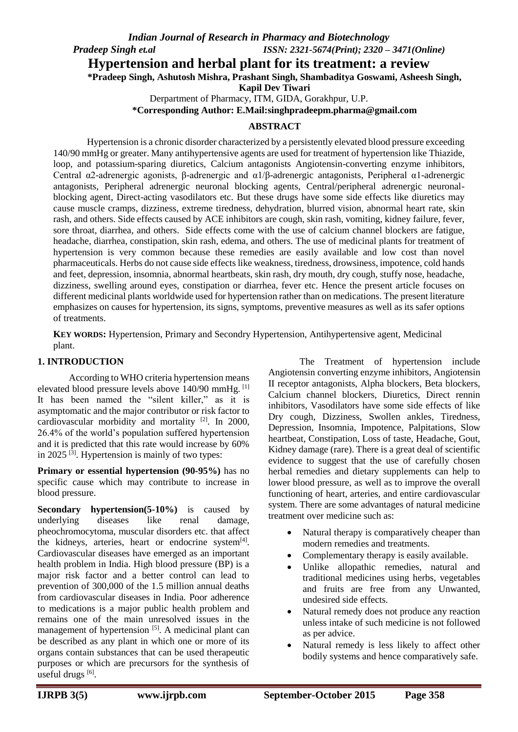## **Hypertension and herbal plant for its treatment: a review**

**\*Pradeep Singh, Ashutosh Mishra, Prashant Singh, Shambaditya Goswami, Asheesh Singh,** 

**Kapil Dev Tiwari**

Derpartment of Pharmacy, ITM, GIDA, Gorakhpur, U.P.

**\*Corresponding Author: E.Mail[:singhpradeepm.pharma@gmail.com](mailto:singhpradeepm.pharma@gmail.com)**

#### **ABSTRACT**

Hypertension is a chronic disorder characterized by a persistently elevated blood pressure exceeding 140/90 mmHg or greater. Many antihypertensive agents are used for treatment of hypertension like Thiazide, loop, and potassium-sparing diuretics, Calcium antagonists Angiotensin-converting enzyme inhibitors, Central α2-adrenergic agonists, β-adrenergic and α1/β-adrenergic antagonists, Peripheral α1-adrenergic antagonists, Peripheral adrenergic neuronal blocking agents, Central/peripheral adrenergic neuronalblocking agent, Direct-acting vasodilators etc. But these drugs have some side effects like diuretics may cause muscle cramps, dizziness, extreme tiredness, dehydration, blurred vision, abnormal heart rate, skin rash, and others. Side effects caused by ACE inhibitors are cough, skin rash, vomiting, kidney failure, fever, sore throat, diarrhea, and others. Side effects come with the use of calcium channel blockers are fatigue, headache, diarrhea, constipation, skin rash, edema, and others. The use of medicinal plants for treatment of hypertension is very common because these remedies are easily available and low cost than novel pharmaceuticals. Herbs do not cause side effects like weakness, tiredness, drowsiness, impotence, cold hands and feet, depression, insomnia, abnormal heartbeats, skin rash, dry mouth, dry cough, stuffy nose, headache, dizziness, swelling around eyes, constipation or diarrhea, fever etc. Hence the present article focuses on different medicinal plants worldwide used for hypertension rather than on medications. The present literature emphasizes on causes for hypertension, its signs, symptoms, preventive measures as well as its safer options of treatments.

**KEY WORDS:** Hypertension, Primary and Secondry Hypertension, Antihypertensive agent, Medicinal plant.

#### **1. INTRODUCTION**

According to WHO criteria hypertension means elevated blood pressure levels above 140/90 mmHg. [1] It has been named the "silent killer," as it is asymptomatic and the major contributor or risk factor to cardiovascular morbidity and mortality  $[2]$ . In 2000, 26.4% of the world's population suffered hypertension and it is predicted that this rate would increase by 60% in 2025  $^{[3]}$ . Hypertension is mainly of two types:

**Primary or essential hypertension (90-95%)** has no specific cause which may contribute to increase in blood pressure.

**Secondary hypertension(5-10%)** is caused by underlying diseases like renal damage, pheochromocytoma, muscular disorders etc. that affect the kidneys, arteries, heart or endocrine system<sup>[4]</sup>. Cardiovascular diseases have emerged as an important health problem in India. High blood pressure (BP) is a major risk factor and a better control can lead to prevention of 300,000 of the 1.5 million annual deaths from cardiovascular diseases in India. Poor adherence to medications is a major public health problem and remains one of the main unresolved issues in the management of hypertension<sup>[5]</sup>. A medicinal plant can be described as any plant in which one or more of its organs contain substances that can be used therapeutic purposes or which are precursors for the synthesis of useful drugs [6].

The Treatment of hypertension include Angiotensin converting enzyme inhibitors, Angiotensin II receptor antagonists, Alpha blockers, Beta blockers, Calcium channel blockers, Diuretics, Direct rennin inhibitors, Vasodilators have some side effects of like Dry cough, Dizziness, Swollen ankles, Tiredness, Depression, Insomnia, Impotence, Palpitations, Slow heartbeat, Constipation, Loss of taste, Headache, Gout, Kidney damage (rare). There is a great deal of scientific evidence to suggest that the use of carefully chosen herbal remedies and dietary supplements can help to lower blood pressure, as well as to improve the overall functioning of heart, arteries, and entire cardiovascular system. There are some advantages of natural medicine treatment over medicine such as:

- Natural therapy is comparatively cheaper than modern remedies and treatments.
- Complementary therapy is easily available.
- Unlike allopathic remedies, natural and traditional medicines using herbs, vegetables and fruits are free from any Unwanted, undesired side effects.
- Natural remedy does not produce any reaction unless intake of such medicine is not followed as per advice.
- Natural remedy is less likely to affect other bodily systems and hence comparatively safe.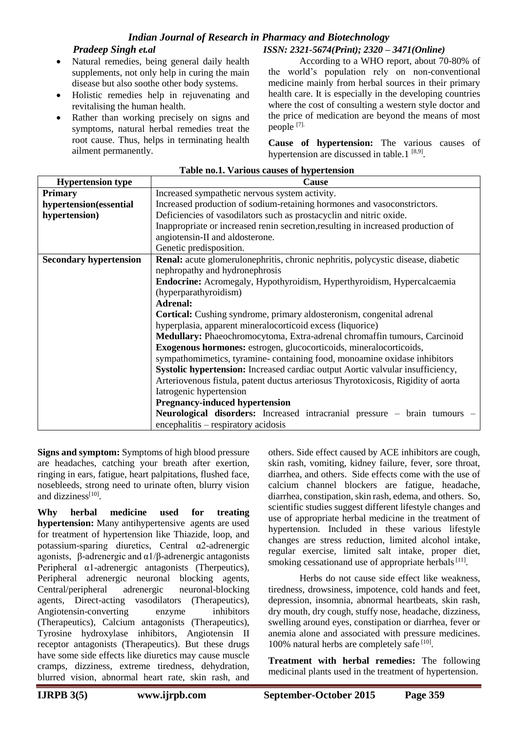- Natural remedies, being general daily health supplements, not only help in curing the main disease but also soothe other body systems.
- Holistic remedies help in rejuvenating and revitalising the human health.
- Rather than working precisely on signs and symptoms, natural herbal remedies treat the root cause. Thus, helps in terminating health ailment permanently.

According to a WHO report, about 70-80% of the world's population rely on non-conventional medicine mainly from herbal sources in their primary health care. It is especially in the developing countries where the cost of consulting a western style doctor and the price of medication are beyond the means of most people [7].

**Cause of hypertension:** The various causes of hypertension are discussed in table.1<sup>[8,9]</sup>.

| <b>Hypertension type</b>      | <b>Cause</b>                                                                      |  |  |  |  |  |
|-------------------------------|-----------------------------------------------------------------------------------|--|--|--|--|--|
| <b>Primary</b>                | Increased sympathetic nervous system activity.                                    |  |  |  |  |  |
| hypertension(essential        | Increased production of sodium-retaining hormones and vasoconstrictors.           |  |  |  |  |  |
| hypertension)                 | Deficiencies of vasodilators such as prostacyclin and nitric oxide.               |  |  |  |  |  |
|                               | Inappropriate or increased renin secretion, resulting in increased production of  |  |  |  |  |  |
|                               | angiotensin-II and aldosterone.                                                   |  |  |  |  |  |
|                               | Genetic predisposition.                                                           |  |  |  |  |  |
| <b>Secondary hypertension</b> | Renal: acute glomerulonephritis, chronic nephritis, polycystic disease, diabetic  |  |  |  |  |  |
|                               | nephropathy and hydronephrosis                                                    |  |  |  |  |  |
|                               | Endocrine: Acromegaly, Hypothyroidism, Hyperthyroidism, Hypercalcaemia            |  |  |  |  |  |
|                               | (hyperparathyroidism)                                                             |  |  |  |  |  |
|                               | <b>Adrenal:</b>                                                                   |  |  |  |  |  |
|                               | Cortical: Cushing syndrome, primary aldosteronism, congenital adrenal             |  |  |  |  |  |
|                               | hyperplasia, apparent mineralocorticoid excess (liquorice)                        |  |  |  |  |  |
|                               | Medullary: Phaeochromocytoma, Extra-adrenal chromaffin tumours, Carcinoid         |  |  |  |  |  |
|                               | Exogenous hormones: estrogen, glucocorticoids, mineralocorticoids,                |  |  |  |  |  |
|                               | sympathomimetics, tyramine-containing food, monoamine oxidase inhibitors          |  |  |  |  |  |
|                               | Systolic hypertension: Increased cardiac output Aortic valvular insufficiency,    |  |  |  |  |  |
|                               | Arteriovenous fistula, patent ductus arteriosus Thyrotoxicosis, Rigidity of aorta |  |  |  |  |  |
|                               | Iatrogenic hypertension                                                           |  |  |  |  |  |
|                               | <b>Pregnancy-induced hypertension</b>                                             |  |  |  |  |  |
|                               | Neurological disorders: Increased intracranial pressure – brain tumours –         |  |  |  |  |  |
|                               | encephalitis - respiratory acidosis                                               |  |  |  |  |  |

#### **Table no.1. Various causes of hypertension**

**Signs and symptom:** Symptoms of high blood pressure are headaches, catching your breath after exertion, ringing in ears, fatigue, heart palpitations, flushed face, nosebleeds, strong need to urinate often, blurry vision and dizziness<sup>[10]</sup>.

**Why herbal medicine used for treating hypertension:** Many antihypertensive agents are used for treatment of hypertension like Thiazide, loop, and potassium-sparing diuretics, Central α2-adrenergic agonists, β-adrenergic and α1/β-adrenergic antagonists Peripheral  $\alpha$ 1-adrenergic antagonists (Therpeutics), Peripheral adrenergic neuronal blocking agents, Central/peripheral adrenergic neuronal-blocking agents, Direct-acting vasodilators (Therapeutics), Angiotensin-converting enzyme inhibitors (Therapeutics), Calcium antagonists (Therapeutics), Tyrosine hydroxylase inhibitors, Angiotensin II receptor antagonists (Therapeutics). But these drugs have some side effects like diuretics may cause muscle cramps, dizziness, extreme tiredness, dehydration, blurred vision, abnormal heart rate, skin rash, and

others. Side effect caused by ACE inhibitors are cough, skin rash, vomiting, kidney failure, fever, sore throat, diarrhea, and others. Side effects come with the use of calcium channel blockers are fatigue, headache, diarrhea, constipation, skin rash, edema, and others. So, scientific studies suggest different lifestyle changes and use of appropriate herbal medicine in the treatment of hypertension. Included in these various lifestyle changes are stress reduction, limited alcohol intake, regular exercise, limited salt intake, proper diet, smoking cessationand use of appropriate herbals<sup>[11]</sup>.

 Herbs do not cause side effect like weakness, tiredness, drowsiness, impotence, cold hands and feet, depression, insomnia, abnormal heartbeats, skin rash, dry mouth, dry cough, stuffy nose, headache, dizziness, swelling around eyes, constipation or diarrhea, fever or anemia alone and associated with pressure medicines. 100% natural herbs are completely safe [10].

**Treatment with herbal remedies:** The following medicinal plants used in the treatment of hypertension.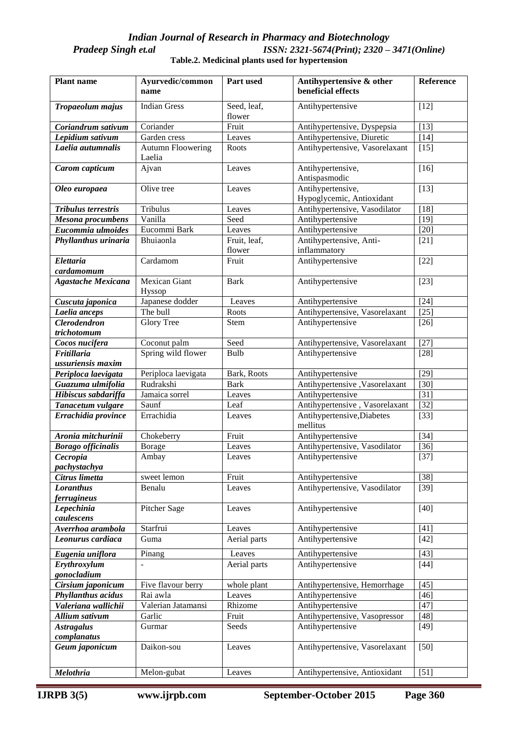#### *Indian Journal of Research in Pharmacy and Biotechnology*<br>- *ISSN*: 2321-5674(*Print*); 2320 *Pradeep Singh et.al ISSN: 2321-5674(Print); 2320 – 3471(Online)* **Table.2. Medicinal plants used for hypertension**

| <b>Plant name</b>                         | Ayurvedic/common<br>name           | Part used              | Antihypertensive & other<br>beneficial effects   | Reference        |
|-------------------------------------------|------------------------------------|------------------------|--------------------------------------------------|------------------|
| Tropaeolum majus                          | <b>Indian Gress</b>                | Seed, leaf,<br>flower  | Antihypertensive                                 | $[12]$           |
| Coriandrum sativum                        | Coriander                          | Fruit                  | Antihypertensive, Dyspepsia                      | $[13]$           |
| Lepidium sativum                          | Garden cress                       | Leaves                 | Antihypertensive, Diuretic                       | $[14]$           |
| Laelia autumnalis                         | <b>Autumn Floowering</b><br>Laelia | Roots                  | Antihypertensive, Vasorelaxant                   | $[15]$           |
| Carom capticum                            | Ajvan                              | Leaves                 | Antihypertensive,<br>Antispasmodic               | $[16]$           |
| Oleo europaea                             | Olive tree                         | Leaves                 | Antihypertensive,<br>Hypoglycemic, Antioxidant   | $[13]$           |
| <b>Tribulus terrestris</b>                | Tribulus                           | Leaves                 | Antihypertensive, Vasodilator                    | $[18]$           |
| Mesona procumbens                         | Vanilla                            | Seed                   | Antihypertensive                                 | $[19]$           |
| Eucommia ulmoides                         | Eucommi Bark                       | Leaves                 | Antihypertensive                                 | $[20]$           |
| Phyllanthus urinaria                      | Bhuiaonla                          | Fruit, leaf,<br>flower | Antihypertensive, Anti-<br>inflammatory          | $[21]$           |
| <b>Elettaria</b>                          | Cardamom                           | Fruit                  | Antihypertensive                                 | $[22]$           |
| cardamomum                                |                                    |                        |                                                  |                  |
| <b>Agastache Mexicana</b>                 | <b>Mexican Giant</b><br>Hyssop     | <b>Bark</b>            | Antihypertensive                                 | $[23]$           |
| Cuscuta japonica                          | Japanese dodder                    | Leaves                 | Antihypertensive                                 | $[24]$           |
| Laelia anceps                             | The bull                           | Roots                  | Antihypertensive, Vasorelaxant                   | $[25]$           |
| <b>Clerodendron</b><br>trichotomum        | <b>Glory Tree</b>                  | <b>Stem</b>            | Antihypertensive                                 | $[26]$           |
| Cocos nucifera                            | Coconut palm                       | Seed                   | Antihypertensive, Vasorelaxant                   | $[27]$           |
| <b>Fritillaria</b>                        | Spring wild flower                 | Bulb                   | Antihypertensive                                 | $[28]$           |
| ussuriensis maxim                         |                                    |                        |                                                  |                  |
| Periploca laevigata                       | Periploca laevigata                | Bark, Roots            | Antihypertensive                                 | $[29]$           |
| Guazuma ulmifolia                         | Rudrakshi                          | <b>Bark</b>            | Antihypertensive, Vasorelaxant                   | $[30]$           |
| Hibiscus sabdariffa                       | Jamaica sorrel                     | Leaves                 | Antihypertensive                                 | $[31]$           |
| Tanacetum vulgare                         | Saunf                              | Leaf                   | Antihypertensive, Vasorelaxant                   | $[32]$           |
| Errachidia province                       | Errachidia                         | Leaves                 | Antihypertensive, Diabetes<br>mellitus           | $[33]$           |
| Aronia mitchurinii                        | Chokeberry                         | Fruit                  | Antihypertensive                                 | $[34]$           |
| <b>Borago officinalis</b>                 | <b>Borage</b>                      | Leaves                 | Antihypertensive, Vasodilator                    | $[36]$           |
| Cecropia                                  | Ambay                              | Leaves                 | Antihypertensive                                 | $[37]$           |
| pachystachya                              |                                    |                        |                                                  |                  |
| Citrus limetta                            | sweet lemon                        | Fruit                  | Antihypertensive                                 | $[38]$           |
| Loranthus                                 | Benalu                             | Leaves                 | Antihypertensive, Vasodilator                    | $[39]$           |
| <i>ferrugineus</i>                        |                                    |                        |                                                  |                  |
| Lepechinia                                | Pitcher Sage                       | Leaves                 | Antihypertensive                                 | $[40]$           |
| caulescens                                |                                    |                        |                                                  |                  |
| Averrhoa arambola                         | Starfrui                           | Leaves                 | Antihypertensive                                 | $[41]$           |
| Leonurus cardiaca                         | Guma                               | Aerial parts           | Antihypertensive                                 | $[42]$           |
| Eugenia uniflora                          | Pinang                             | Leaves                 | Antihypertensive                                 | $[43]$           |
| Erythroxylum                              |                                    | Aerial parts           | Antihypertensive                                 | $[44]$           |
| gonocladium                               |                                    |                        |                                                  |                  |
| Cirsium japonicum                         | Five flavour berry<br>Rai awla     | whole plant<br>Leaves  | Antihypertensive, Hemorrhage<br>Antihypertensive | $[45]$<br>$[46]$ |
| Phyllanthus acidus<br>Valeriana wallichii | Valerian Jatamansi                 | Rhizome                | Antihypertensive                                 | $[47]$           |
| Allium sativum                            | Garlic                             | Fruit                  | Antihypertensive, Vasopressor                    | $[48]$           |
| <b>Astragalus</b>                         | Gurmar                             | Seeds                  | Antihypertensive                                 | $[49]$           |
| complanatus                               |                                    |                        |                                                  |                  |
| Geum japonicum                            | Daikon-sou                         | Leaves                 | Antihypertensive, Vasorelaxant                   | $[50]$           |
|                                           |                                    |                        |                                                  |                  |
| Melothria                                 | Melon-gubat                        | Leaves                 | Antihypertensive, Antioxidant                    | $[51]$           |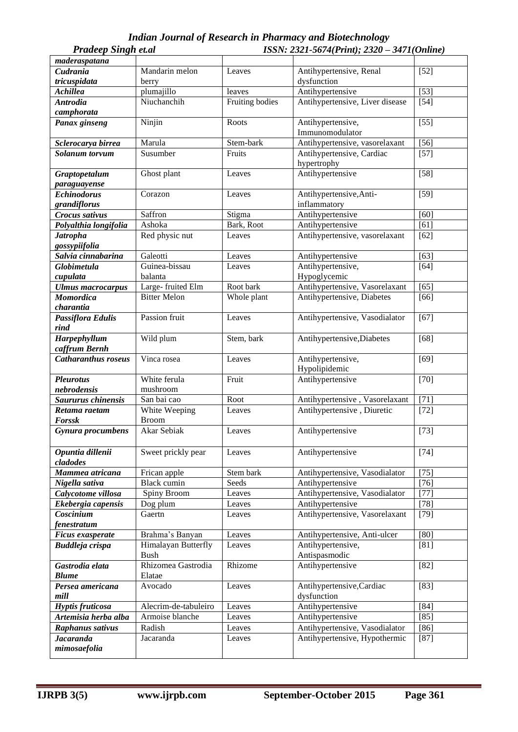| <b>Pradeep Singh et.al</b> |                      | ISSN: 2321-5674(Print); 2320 - 3471(Online) |                                      |                   |  |
|----------------------------|----------------------|---------------------------------------------|--------------------------------------|-------------------|--|
| maderaspatana              |                      |                                             |                                      |                   |  |
| Cudrania                   | Mandarin melon       | Leaves                                      | Antihypertensive, Renal              | $[52]$            |  |
| tricuspidata               | berry                |                                             | dysfunction                          |                   |  |
| <b>Achillea</b>            | plumajillo           | leaves                                      | Antihypertensive                     | $[53]$            |  |
| <b>Antrodia</b>            | Niuchanchih          | Fruiting bodies                             | Antihypertensive, Liver disease      | $[54]$            |  |
| camphorata                 |                      |                                             |                                      |                   |  |
| Panax ginseng              | Ninjin               | Roots                                       | Antihypertensive,<br>Immunomodulator | $[55]$            |  |
| Sclerocarya birrea         | Marula               | Stem-bark                                   | Antihypertensive, vasorelaxant       | $[56]$            |  |
| Solanum torvum             | Susumber             | Fruits                                      | Antihypertensive, Cardiac            | $[57]$            |  |
|                            |                      |                                             | hypertrophy                          |                   |  |
| Graptopetalum              | Ghost plant          | Leaves                                      | Antihypertensive                     | $[58]$            |  |
| paraguayense               |                      |                                             |                                      |                   |  |
| <b>Echinodorus</b>         | Corazon              | Leaves                                      | Antihypertensive, Anti-              | $[59]$            |  |
| grandiflorus               |                      |                                             | inflammatory                         |                   |  |
| Crocus sativus             | Saffron              | Stigma                                      | Antihypertensive                     | [60]              |  |
| Polyalthia longifolia      | Ashoka               | Bark, Root                                  | Antihypertensive                     | $\overline{[61]}$ |  |
| <b>Jatropha</b>            | Red physic nut       | Leaves                                      | Antihypertensive, vasorelaxant       | [62]              |  |
| gossypiifolia              |                      |                                             |                                      |                   |  |
| Salvia cinnabarina         | Galeotti             | Leaves                                      | Antihypertensive                     | [63]              |  |
| Globimetula                | Guinea-bissau        | Leaves                                      | Antihypertensive,                    | [64]              |  |
| cupulata                   | balanta              |                                             | Hypoglycemic                         |                   |  |
| <b>Ulmus</b> macrocarpus   | Large-fruited Elm    | Root bark                                   | Antihypertensive, Vasorelaxant       | [65]              |  |
| <b>Momordica</b>           | <b>Bitter Melon</b>  | Whole plant                                 | Antihypertensive, Diabetes           | [66]              |  |
| charantia                  |                      |                                             |                                      |                   |  |
| Passiflora Edulis          | Passion fruit        | Leaves                                      | Antihypertensive, Vasodialator       | $[67]$            |  |
| rind                       |                      |                                             |                                      |                   |  |
| Harpephyllum               | Wild plum            | Stem, bark                                  | Antihypertensive, Diabetes           | $[68]$            |  |
| caffrum Bernh              |                      |                                             |                                      |                   |  |
| <b>Catharanthus roseus</b> | Vinca rosea          | Leaves                                      | Antihypertensive,                    | $[69]$            |  |
|                            |                      |                                             | Hypolipidemic                        |                   |  |
| <b>Pleurotus</b>           | White ferula         | Fruit                                       | Antihypertensive                     | $[70]$            |  |
| nebrodensis                | mushroom             |                                             |                                      |                   |  |
| Saururus chinensis         | San bai cao          | Root                                        | Antihypertensive, Vasorelaxant       | $[71]$            |  |
| Retama raetam              | White Weeping        | Leaves                                      | Antihypertensive, Diuretic           | $[72]$            |  |
| <b>Forssk</b>              | <b>Broom</b>         |                                             |                                      |                   |  |
| Gynura procumbens          | Akar Sebiak          | Leaves                                      | Antihypertensive                     | $[73]$            |  |
| Opuntia dillenii           | Sweet prickly pear   | Leaves                                      | Antihypertensive                     | $[74]$            |  |
| cladodes                   |                      |                                             |                                      |                   |  |
| Mammea atricana            | Frican apple         | Stem bark                                   | Antihypertensive, Vasodialator       | $[75]$            |  |
| Nigella sativa             | Black cumin          | Seeds                                       | Antihypertensive                     | $[76]$            |  |
| Calycotome villosa         | Spiny Broom          | Leaves                                      | Antihypertensive, Vasodialator       | $[77]$            |  |
| Ekebergia capensis         | Dog plum             | Leaves                                      | Antihypertensive                     | $[78]$            |  |
| Coscinium                  | Gaertn               | Leaves                                      | Antihypertensive, Vasorelaxant       | $[79]$            |  |
| <i>fenestratum</i>         |                      |                                             |                                      |                   |  |
| Ficus exasperate           | Brahma's Banyan      | Leaves                                      | Antihypertensive, Anti-ulcer         | [80]              |  |
| <b>Buddleja</b> crispa     | Himalayan Butterfly  | Leaves                                      | Antihypertensive,                    | [81]              |  |
|                            | <b>Bush</b>          |                                             | Antispasmodic                        |                   |  |
| Gastrodia elata            | Rhizomea Gastrodia   | Rhizome                                     | Antihypertensive                     | $[82]$            |  |
| <b>Blume</b>               | Elatae               |                                             |                                      |                   |  |
| Persea americana           | Avocado              | Leaves                                      | Antihypertensive, Cardiac            | $[83]$            |  |
| mill                       |                      |                                             | dysfunction                          |                   |  |
| Hyptis fruticosa           | Alecrim-de-tabuleiro | Leaves                                      | Antihypertensive                     | [84]              |  |
| Artemisia herba alba       | Armoise blanche      | Leaves                                      | Antihypertensive                     | $[85]$            |  |
| Raphanus sativus           | Radish               | Leaves                                      | Antihypertensive, Vasodialator       | $[86]$            |  |
| <b>Jacaranda</b>           | Jacaranda            | Leaves                                      | Antihypertensive, Hypothermic        | $[87]$            |  |
| mimosaefolia               |                      |                                             |                                      |                   |  |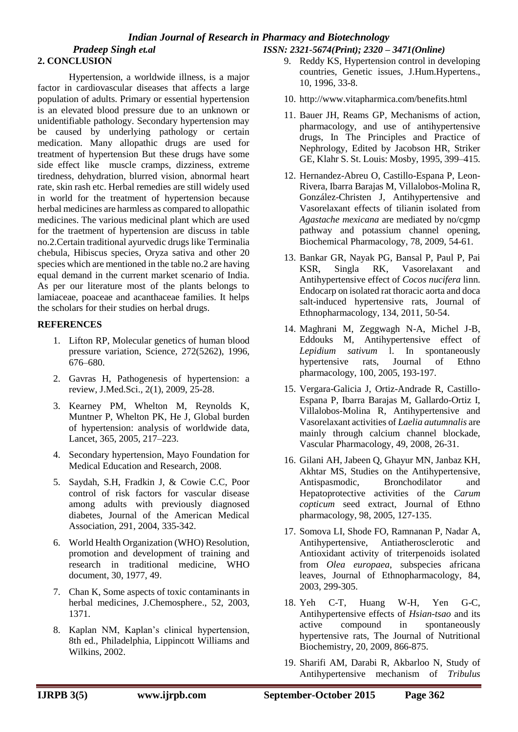# **2. CONCLUSION**

Hypertension, a worldwide illness, is a major factor in cardiovascular diseases that affects a large population of adults. Primary or essential hypertension is an elevated blood pressure due to an unknown or unidentifiable pathology. Secondary hypertension may be caused by underlying pathology or certain medication. Many allopathic drugs are used for treatment of hypertension But these drugs have some side effect like muscle cramps, dizziness, extreme tiredness, dehydration, blurred vision, abnormal heart rate, skin rash etc. Herbal remedies are still widely used in world for the treatment of hypertension because herbal medicines are harmless as compared to allopathic medicines. The various medicinal plant which are used for the traetment of hypertension are discuss in table no.2.Certain traditional ayurvedic drugs like Terminalia chebula, Hibiscus species, Oryza sativa and other 20 species which are mentioned in the table no.2 are having equal demand in the current market scenario of India. As per our literature most of the plants belongs to lamiaceae, poaceae and acanthaceae families. It helps the scholars for their studies on herbal drugs.

## **REFERENCES**

- 1. Lifton RP, Molecular genetics of human blood pressure variation, Science, 272(5262), 1996, 676–680.
- 2. Gavras H, Pathogenesis of hypertension: a review, J.Med.Sci.*,* 2(1), 2009, 25-28.
- 3. Kearney PM, Whelton M, Reynolds K, Muntner P, Whelton PK, He J, Global burden of hypertension: analysis of worldwide data, Lancet, 365, 2005, 217–223.
- 4. Secondary hypertension, Mayo Foundation for Medical Education and Research, 2008.
- 5. Saydah, S.H, Fradkin J, & Cowie C.C, Poor control of risk factors for vascular disease among adults with previously diagnosed diabetes, Journal of the American Medical Association, 291, 2004, 335-342.
- 6. World Health Organization (WHO) Resolution, promotion and development of training and research in traditional medicine, WHO document, 30, 1977, 49.
- 7. Chan K, Some aspects of toxic contaminants in herbal medicines, J.Chemosphere., 52, 2003, 1371.
- 8. Kaplan NM, Kaplan's clinical hypertension, 8th ed., Philadelphia, Lippincott Williams and Wilkins, 2002.
- 9. Reddy KS, Hypertension control in developing countries, Genetic issues, J.Hum.Hypertens., 10, 1996, 33-8.
- 10. http://www.vitapharmica.com/benefits.html
- 11. Bauer JH, Reams GP, Mechanisms of action, pharmacology, and use of antihypertensive drugs, In The Principles and Practice of Nephrology, Edited by Jacobson HR, Striker GE, Klahr S. St. Louis: Mosby, 1995, 399–415.
- 12. Hernandez-Abreu O, Castillo-Espana P, Leon-Rivera, Ibarra Barajas M, Villalobos-Molina R, González-Christen J, Antihypertensive and Vasorelaxant effects of tilianin isolated from *Agastache mexicana* are mediated by no/cgmp pathway and potassium channel opening, Biochemical Pharmacology, 78, 2009, 54-61.
- 13. Bankar GR, Nayak PG, Bansal P, Paul P, Pai KSR, Singla RK, Vasorelaxant and Antihypertensive effect of *Cocos nucifera* linn. Endocarp on isolated rat thoracic aorta and doca salt-induced hypertensive rats, Journal of Ethnopharmacology, 134, 2011, 50-54.
- 14. Maghrani M, Zeggwagh N-A, Michel J-B, Eddouks M, Antihypertensive effect of *Lepidium sativum* l. In spontaneously hypertensive rats, Journal of Ethno pharmacology, 100, 2005, 193-197.
- 15. Vergara-Galicia J, Ortiz-Andrade R, Castillo-Espana P, Ibarra Barajas M, Gallardo-Ortiz I, Villalobos-Molina R, Antihypertensive and Vasorelaxant activities of *Laelia autumnalis* are mainly through calcium channel blockade, Vascular Pharmacology, 49, 2008, 26-31.
- 16. Gilani AH, Jabeen Q, Ghayur MN, Janbaz KH, Akhtar MS, Studies on the Antihypertensive, Antispasmodic, Bronchodilator and Hepatoprotective activities of the *Carum copticum* seed extract, Journal of Ethno pharmacology, 98, 2005, 127-135.
- 17. Somova LI, Shode FO, Ramnanan P, Nadar A, Antihypertensive, Antiatherosclerotic and Antioxidant activity of triterpenoids isolated from *Olea europaea*, subspecies africana leaves, Journal of Ethnopharmacology, 84, 2003, 299-305.
- 18. Yeh C-T, Huang W-H, Yen G-C, Antihypertensive effects of *Hsian-tsao* and its active compound in spontaneously hypertensive rats, The Journal of Nutritional Biochemistry, 20, 2009, 866-875.
- 19. Sharifi AM, Darabi R, Akbarloo N, Study of Antihypertensive mechanism of *Tribulus*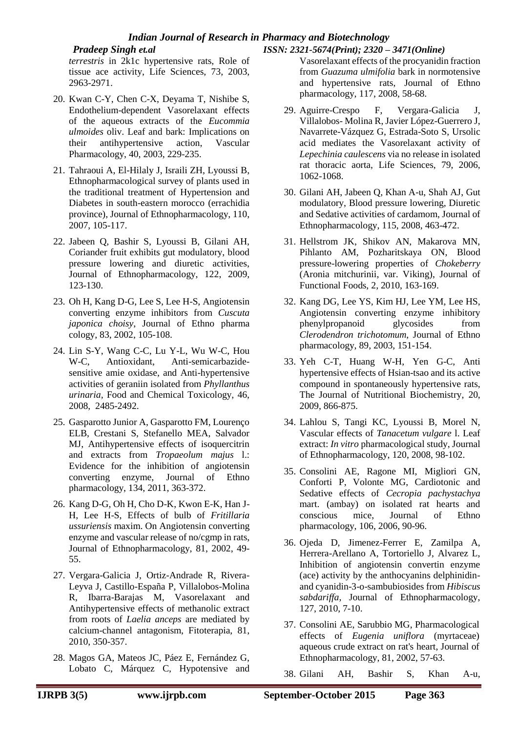# *Indian Journal of Research in Pharmacy and Biotechnology*

# *Pradeep Singh et.al ISSN: 2321-5674(Print); 2320 – 3471(Online)*

*terrestris* in 2k1c hypertensive rats, Role of tissue ace activity, Life Sciences, 73, 2003, 2963-2971.

- 20. Kwan C-Y, Chen C-X, Deyama T, Nishibe S, Endothelium-dependent Vasorelaxant effects of the aqueous extracts of the *Eucommia ulmoides* oliv. Leaf and bark: Implications on their antihypertensive action, Vascular Pharmacology, 40, 2003, 229-235.
- 21. Tahraoui A, El-Hilaly J, Israili ZH, Lyoussi B, Ethnopharmacological survey of plants used in the traditional treatment of Hypertension and Diabetes in south-eastern morocco (errachidia province), Journal of Ethnopharmacology, 110, 2007, 105-117.
- 22. Jabeen Q, Bashir S, Lyoussi B, Gilani AH, Coriander fruit exhibits gut modulatory, blood pressure lowering and diuretic activities, Journal of Ethnopharmacology, 122, 2009, 123-130.
- 23. Oh H, Kang D-G, Lee S, Lee H-S, Angiotensin converting enzyme inhibitors from *Cuscuta japonica choisy*, Journal of Ethno pharma cology, 83, 2002, 105-108.
- 24. Lin S-Y, Wang C-C, Lu Y-L, Wu W-C, Hou W-C, Antioxidant, Anti-semicarbazidesensitive amie oxidase, and Anti-hypertensive activities of geraniin isolated from *Phyllanthus urinaria,* Food and Chemical Toxicology, 46, 2008, 2485-2492.
- 25. Gasparotto Junior A, Gasparotto FM, Lourenço ELB, Crestani S, Stefanello MEA, Salvador MJ, Antihypertensive effects of isoquercitrin and extracts from *Tropaeolum majus* l.: Evidence for the inhibition of angiotensin converting enzyme, Journal of Ethno pharmacology, 134, 2011, 363-372.
- 26. Kang D-G, Oh H, Cho D-K, Kwon E-K, Han J-H, Lee H-S, Effects of bulb of *Fritillaria ussuriensis* maxim. On Angiotensin converting enzyme and vascular release of no/cgmp in rats, Journal of Ethnopharmacology, 81, 2002, 49- 55.
- 27. Vergara-Galicia J, Ortiz-Andrade R, Rivera-Leyva J, Castillo-España P, Villalobos-Molina R, Ibarra-Barajas M, Vasorelaxant and Antihypertensive effects of methanolic extract from roots of *Laelia anceps* are mediated by calcium-channel antagonism, Fitoterapia, 81, 2010, 350-357.
- 28. Magos GA, Mateos JC, Páez E, Fernández G, Lobato C, Márquez C, Hypotensive and

Vasorelaxant effects of the procyanidin fraction from *Guazuma ulmifolia* bark in normotensive and hypertensive rats, Journal of Ethno pharmacology, 117, 2008, 58-68.

- 29. Aguirre-Crespo F, Vergara-Galicia J, Villalobos- Molina R, Javier López-Guerrero J, Navarrete-Vázquez G, Estrada-Soto S, Ursolic acid mediates the Vasorelaxant activity of *Lepechinia caulescens* via no release in isolated rat thoracic aorta, Life Sciences, 79, 2006, 1062-1068.
- 30. Gilani AH, Jabeen Q, Khan A-u, Shah AJ, Gut modulatory, Blood pressure lowering, Diuretic and Sedative activities of cardamom, Journal of Ethnopharmacology, 115, 2008, 463-472.
- 31. Hellstrom JK, Shikov AN, Makarova MN, Pihlanto AM, Pozharitskaya ON, Blood pressure-lowering properties of *Chokeberry* (Aronia mitchurinii, var. Viking), Journal of Functional Foods, 2, 2010, 163-169.
- 32. Kang DG, Lee YS, Kim HJ, Lee YM, Lee HS, Angiotensin converting enzyme inhibitory phenylpropanoid glycosides from *Clerodendron trichotomum*, Journal of Ethno pharmacology, 89, 2003, 151-154.
- 33. Yeh C-T, Huang W-H, Yen G-C, Anti hypertensive effects of Hsian-tsao and its active compound in spontaneously hypertensive rats, The Journal of Nutritional Biochemistry, 20, 2009, 866-875.
- 34. Lahlou S, Tangi KC, Lyoussi B, Morel N, Vascular effects of *Tanacetum vulgare* l. Leaf extract: *In vitro* pharmacological study, Journal of Ethnopharmacology, 120, 2008, 98-102.
- 35. Consolini AE, Ragone MI, Migliori GN, Conforti P, Volonte MG, Cardiotonic and Sedative effects of *Cecropia pachystachya* mart. (ambay) on isolated rat hearts and conscious mice, Journal of Ethno pharmacology, 106, 2006, 90-96.
- 36. Ojeda D, Jimenez-Ferrer E, Zamilpa A, Herrera-Arellano A, Tortoriello J, Alvarez L, Inhibition of angiotensin convertin enzyme (ace) activity by the anthocyanins delphinidinand cyanidin-3-o-sambubiosides from *Hibiscus sabdariffa,* Journal of Ethnopharmacology, 127, 2010, 7-10.
- 37. Consolini AE, Sarubbio MG, Pharmacological effects of *Eugenia uniflora* (myrtaceae) aqueous crude extract on rat's heart, Journal of Ethnopharmacology, 81, 2002, 57-63.
- 38. Gilani AH, Bashir S, Khan A-u,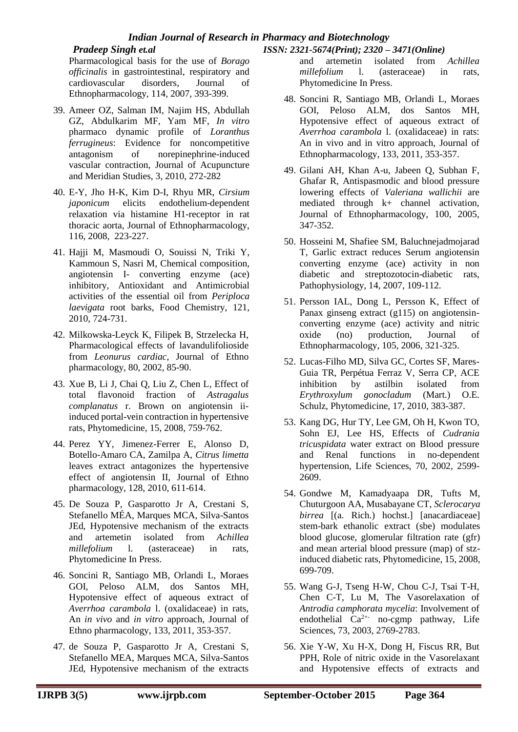# *Indian Journal of Research in Pharmacy and Biotechnology*

#### *Pradeep Singh et.al ISSN: 2321-5674(Print); 2320 – 3471(Online)*

Pharmacological basis for the use of *Borago officinalis* in gastrointestinal, respiratory and cardiovascular disorders, Journal of Ethnopharmacology, 114, 2007, 393-399.

- 39. Ameer OZ, Salman IM, Najim HS, Abdullah GZ, Abdulkarim MF, Yam MF, *In vitro* pharmaco dynamic profile of *Loranthus ferrugineus*: Evidence for noncompetitive antagonism of norepinephrine-induced vascular contraction, Journal of Acupuncture and Meridian Studies, 3, 2010, 272-282
- 40. E-Y, Jho H-K, Kim D-I, Rhyu MR, *Cirsium japonicum* elicits endothelium-dependent relaxation via histamine H1-receptor in rat thoracic aorta, Journal of Ethnopharmacology, 116, 2008, 223-227.
- 41. Hajji M, Masmoudi O, Souissi N, Triki Y, Kammoun S, Nasri M, Chemical composition, angiotensin I- converting enzyme (ace) inhibitory, Antioxidant and Antimicrobial activities of the essential oil from *Periploca laevigata* root barks, Food Chemistry, 121, 2010, 724-731.
- 42. Milkowska-Leyck K, Filipek B, Strzelecka H, Pharmacological effects of lavandulifolioside from *Leonurus cardiac*, Journal of Ethno pharmacology, 80, 2002, 85-90.
- 43. Xue B, Li J, Chai Q, Liu Z, Chen L, Effect of total flavonoid fraction of *Astragalus complanatus* r. Brown on angiotensin iiinduced portal-vein contraction in hypertensive rats, Phytomedicine, 15, 2008, 759-762.
- 44. Perez YY, Jimenez-Ferrer E, Alonso D, Botello-Amaro CA, Zamilpa A, *Citrus limetta* leaves extract antagonizes the hypertensive effect of angiotensin II, Journal of Ethno pharmacology, 128, 2010, 611-614.
- 45. De Souza P, Gasparotto Jr A, Crestani S, Stefanello MÉA, Marques MCA, Silva-Santos JEd, Hypotensive mechanism of the extracts and artemetin isolated from *Achillea millefolium* l. (asteraceae) in rats, Phytomedicine In Press.
- 46. Soncini R, Santiago MB, Orlandi L, Moraes GOI, Peloso ALM, dos Santos MH, Hypotensive effect of aqueous extract of *Averrhoa carambola* l. (oxalidaceae) in rats, An *in vivo* and *in vitro* approach, Journal of Ethno pharmacology, 133, 2011, 353-357.
- 47. de Souza P, Gasparotto Jr A, Crestani S, Stefanello MEA, Marques MCA, Silva-Santos JEd, Hypotensive mechanism of the extracts

and artemetin isolated from *Achillea millefolium* l. (asteraceae) in rats, Phytomedicine In Press.

- 48. Soncini R, Santiago MB, Orlandi L, Moraes GOI, Peloso ALM, dos Santos MH, Hypotensive effect of aqueous extract of *Averrhoa carambola* l. (oxalidaceae) in rats: An in vivo and in vitro approach, Journal of Ethnopharmacology, 133, 2011, 353-357.
- 49. Gilani AH, Khan A-u, Jabeen Q, Subhan F, Ghafar R, Antispasmodic and blood pressure lowering effects of *Valeriana wallichii* are mediated through k+ channel activation, Journal of Ethnopharmacology, 100, 2005, 347-352.
- 50. Hosseini M, Shafiee SM, Baluchnejadmojarad T, Garlic extract reduces Serum angiotensin converting enzyme (ace) activity in non diabetic and streptozotocin-diabetic rats, Pathophysiology, 14, 2007, 109-112.
- 51. Persson IAL, Dong L, Persson K, Effect of Panax ginseng extract (g115) on angiotensinconverting enzyme (ace) activity and nitric oxide (no) production, Journal of Ethnopharmacology, 105, 2006, 321-325.
- 52. Lucas-Filho MD, Silva GC, Cortes SF, Mares-Guia TR, Perpétua Ferraz V, Serra CP, ACE inhibition by astilbin isolated from *Erythroxylum gonocladum* (Mart.) O.E. Schulz, Phytomedicine, 17, 2010, 383-387.
- 53. Kang DG, Hur TY, Lee GM, Oh H, Kwon TO, Sohn EJ, Lee HS, Effects of *Cudrania tricuspidata* water extract on Blood pressure and Renal functions in no-dependent hypertension, Life Sciences, 70, 2002, 2599- 2609.
- 54. Gondwe M, Kamadyaapa DR, Tufts M, Chuturgoon AA, Musabayane CT, *Sclerocarya birrea* [(a. Rich.) hochst.] [anacardiaceae] stem-bark ethanolic extract (sbe) modulates blood glucose, glomerular filtration rate (gfr) and mean arterial blood pressure (map) of stzinduced diabetic rats, Phytomedicine, 15, 2008, 699-709.
- 55. Wang G-J, Tseng H-W, Chou C-J, Tsai T-H, Chen C-T, Lu M, The Vasorelaxation of *Antrodia camphorata mycelia*: Involvement of endothelial Ca<sup>2+-</sup> no-cgmp pathway, Life Sciences, 73, 2003, 2769-2783.
- 56. Xie Y-W, Xu H-X, Dong H, Fiscus RR, But PPH, Role of nitric oxide in the Vasorelaxant and Hypotensive effects of extracts and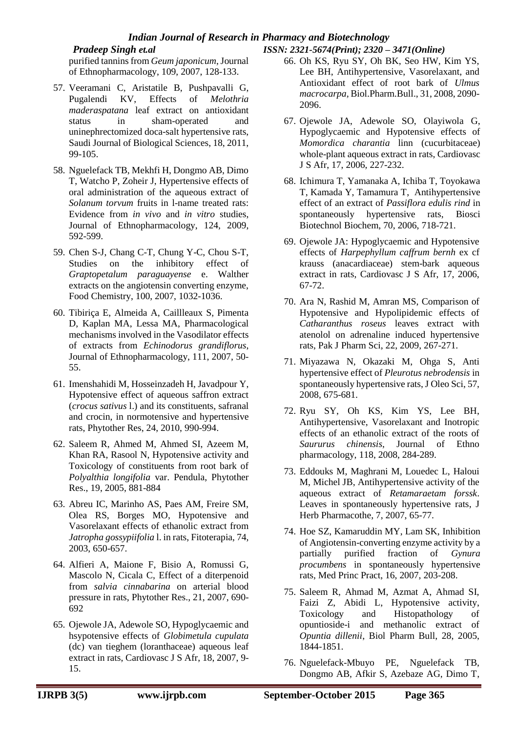# *Indian Journal of Research in Pharmacy and Biotechnology*

purified tannins from *Geum japonicum*,Journal of Ethnopharmacology, 109, 2007, 128-133.

- 57. Veeramani C, Aristatile B, Pushpavalli G, Pugalendi KV, Effects of *Melothria maderaspatana* leaf extract on antioxidant status in sham-operated and uninephrectomized doca-salt hypertensive rats, Saudi Journal of Biological Sciences, 18, 2011, 99-105.
- 58. Nguelefack TB, Mekhfi H, Dongmo AB, Dimo T, Watcho P, Zoheir J, Hypertensive effects of oral administration of the aqueous extract of *Solanum torvum* fruits in l-name treated rats: Evidence from *in vivo* and *in vitro* studies, Journal of Ethnopharmacology, 124, 2009, 592-599.
- 59. Chen S-J, Chang C-T, Chung Y-C, Chou S-T, Studies on the inhibitory effect of *Graptopetalum paraguayense* e. Walther extracts on the angiotensin converting enzyme, Food Chemistry, 100, 2007, 1032-1036.
- 60. Tibiriça E, Almeida A, Caillleaux S, Pimenta D, Kaplan MA, Lessa MA, Pharmacological mechanisms involved in the Vasodilator effects of extracts from *Echinodorus grandiflorus*, Journal of Ethnopharmacology, 111, 2007, 50- 55.
- 61. Imenshahidi M, Hosseinzadeh H, Javadpour Y, Hypotensive effect of aqueous saffron extract (*crocus sativus* l.) and its constituents, safranal and crocin, in normotensive and hypertensive rats, Phytother Res, 24, 2010, 990-994.
- 62. Saleem R, Ahmed M, Ahmed SI, Azeem M, Khan RA, Rasool N, Hypotensive activity and Toxicology of constituents from root bark of *Polyalthia longifolia* var. Pendula, Phytother Res., 19, 2005, 881-884
- 63. Abreu IC, Marinho AS, Paes AM, Freire SM, Olea RS, Borges MO, Hypotensive and Vasorelaxant effects of ethanolic extract from *Jatropha gossypiifolia* l. in rats, Fitoterapia, 74, 2003, 650-657.
- 64. Alfieri A, Maione F, Bisio A, Romussi G, Mascolo N, Cicala C, Effect of a diterpenoid from *salvia cinnabarina* on arterial blood pressure in rats, Phytother Res., 21, 2007, 690- 692
- 65. Ojewole JA, Adewole SO, Hypoglycaemic and hsypotensive effects of *Globimetula cupulata* (dc) van tieghem (loranthaceae) aqueous leaf extract in rats, Cardiovasc J S Afr, 18, 2007, 9- 15.

# *Pradeep Singh et.al ISSN: 2321-5674(Print); 2320 – 3471(Online)*

- 66. Oh KS, Ryu SY, Oh BK, Seo HW, Kim YS, Lee BH, Antihypertensive, Vasorelaxant, and Antioxidant effect of root bark of *Ulmus macrocarpa,* Biol.Pharm.Bull., 31, 2008, 2090- 2096.
- 67. Ojewole JA, Adewole SO, Olayiwola G, Hypoglycaemic and Hypotensive effects of *Momordica charantia* linn (cucurbitaceae) whole-plant aqueous extract in rats, Cardiovasc J S Afr, 17, 2006, 227-232.
- 68. Ichimura T, Yamanaka A, Ichiba T, Toyokawa T, Kamada Y, Tamamura T, Antihypertensive effect of an extract of *Passiflora edulis rind* in spontaneously hypertensive rats, Biosci Biotechnol Biochem, 70, 2006, 718-721.
- 69. Ojewole JA: Hypoglycaemic and Hypotensive effects of *Harpephyllum caffrum bernh* ex cf krauss (anacardiaceae) stem-bark aqueous extract in rats, Cardiovasc J S Afr, 17, 2006, 67-72.
- 70. Ara N, Rashid M, Amran MS, Comparison of Hypotensive and Hypolipidemic effects of *Catharanthus roseus* leaves extract with atenolol on adrenaline induced hypertensive rats, Pak J Pharm Sci, 22, 2009, 267-271.
- 71. Miyazawa N, Okazaki M, Ohga S, Anti hypertensive effect of *Pleurotus nebrodensis* in spontaneously hypertensive rats, J Oleo Sci, 57, 2008, 675-681.
- 72. Ryu SY, Oh KS, Kim YS, Lee BH, Antihypertensive, Vasorelaxant and Inotropic effects of an ethanolic extract of the roots of *Saururus chinensis*, Journal of Ethno pharmacology, 118, 2008, 284-289.
- 73. Eddouks M, Maghrani M, Louedec L, Haloui M, Michel JB, Antihypertensive activity of the aqueous extract of *Retamaraetam forssk*. Leaves in spontaneously hypertensive rats, J Herb Pharmacothe, 7, 2007, 65-77.
- 74. Hoe SZ, Kamaruddin MY, Lam SK, Inhibition of Angiotensin-converting enzyme activity by a partially purified fraction of *Gynura procumbens* in spontaneously hypertensive rats, Med Princ Pract, 16, 2007, 203-208.
- 75. Saleem R, Ahmad M, Azmat A, Ahmad SI, Faizi Z, Abidi L, Hypotensive activity, Toxicology and Histopathology of opuntioside-i and methanolic extract of *Opuntia dillenii*, Biol Pharm Bull, 28, 2005, 1844-1851.
- 76. Nguelefack-Mbuyo PE, Nguelefack TB, Dongmo AB, Afkir S, Azebaze AG, Dimo T,